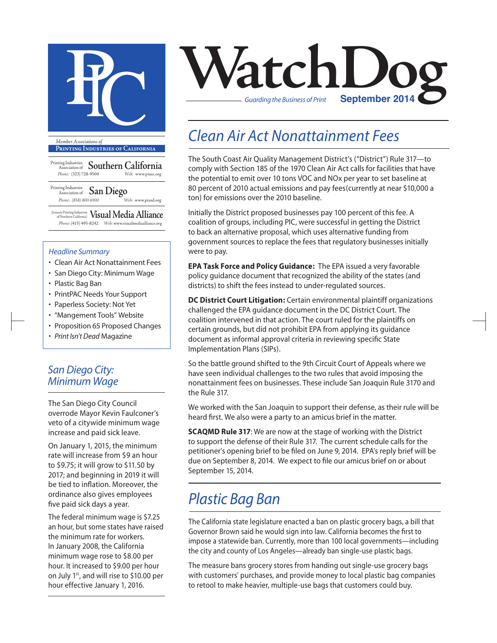

**Printing Industries of California**

Printing Industries Association of **Southern California** *Phone:* (323) 728-9500 *Web:* www.piasc.org

Printing Industries Association of **San Diego** *Phone: (858) 800-6900 Web:* www.piasd.org

(formerly Printing Industries of Northern California) **Visual Media Alliance** *Phone:* (415) 495-8242 *Web:* www.visualmediaalliance.org

#### *Headline Summary*

- Clean Air Act Nonattainment Fees
- San Diego City: Minimum Wage
- Plastic Bag Ban
- PrintPAC Needs Your Support
- Paperless Society: Not Yet
- "Mangement Tools" Website
- Proposition 65 Proposed Changes
- *Print Isn't Dead* Magazine

### *San Diego City: Minimum Wage*

The San Diego City Council overrode Mayor Kevin Faulconer's veto of a citywide minimum wage increase and paid sick leave.

On January 1, 2015, the minimum rate will increase from \$9 an hour to \$9.75; it will grow to \$11.50 by 2017; and beginning in 2019 it will be tied to inflation. Moreover, the ordinance also gives employees five paid sick days a year.

The federal minimum wage is \$7.25 an hour, but some states have raised the minimum rate for workers. In January 2008, the California minimum wage rose to \$8.00 per hour. It increased to \$9.00 per hour on July 1st, and will rise to \$10.00 per hour effective January 1, 2016.



## *Clean Air Act Nonattainment Fees*

The South Coast Air Quality Management District's ("District") Rule 317—to comply with Section 185 of the 1970 Clean Air Act calls for facilities that have the potential to emit over 10 tons VOC and NOx per year to set baseline at 80 percent of 2010 actual emissions and pay fees(currently at near \$10,000 a ton) for emissions over the 2010 baseline.

Initially the District proposed businesses pay 100 percent of this fee. A coalition of groups, including PIC, were successful in getting the District to back an alternative proposal, which uses alternative funding from government sources to replace the fees that regulatory businesses initially were to pay.

**EPA Task Force and Policy Guidance:** The EPA issued a very favorable policy guidance document that recognized the ability of the states (and districts) to shift the fees instead to under-regulated sources.

**DC District Court Litigation:** Certain environmental plaintiff organizations challenged the EPA guidance document in the DC District Court. The coalition intervened in that action. The court ruled for the plaintiffs on certain grounds, but did not prohibit EPA from applying its guidance document as informal approval criteria in reviewing specific State Implementation Plans (SIPs).

So the battle ground shifted to the 9th Circuit Court of Appeals where we have seen individual challenges to the two rules that avoid imposing the nonattainment fees on businesses. These include San Joaquin Rule 3170 and the Rule 317.

We worked with the San Joaquin to support their defense, as their rule will be heard first. We also were a party to an amicus brief in the matter.

**SCAQMD Rule 317**: We are now at the stage of working with the District to support the defense of their Rule 317. The current schedule calls for the petitioner's opening brief to be filed on June 9, 2014. EPA's reply brief will be due on September 8, 2014. We expect to file our amicus brief on or about September 15, 2014.

## *Plastic Bag Ban*

The California state legislature enacted a ban on plastic grocery bags, a bill that Governor Brown said he would sign into law. California becomes the first to impose a statewide ban. Currently, more than 100 local governments—including the city and county of Los Angeles—already ban single-use plastic bags.

The measure bans grocery stores from handing out single-use grocery bags with customers' purchases, and provide money to local plastic bag companies to retool to make heavier, multiple-use bags that customers could buy.